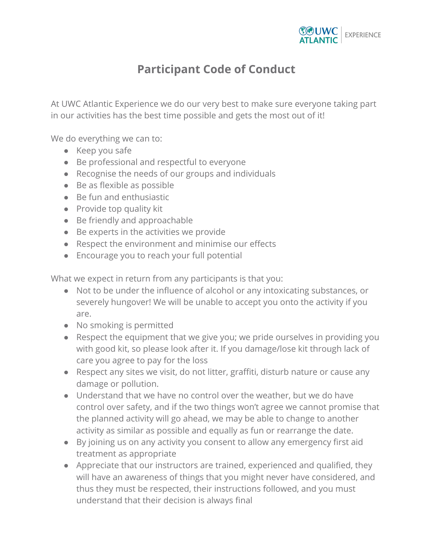

## **Participant Code of Conduct**

At UWC Atlantic Experience we do our very best to make sure everyone taking part in our activities has the best time possible and gets the most out of it!

We do everything we can to:

- Keep you safe
- Be professional and respectful to everyone
- Recognise the needs of our groups and individuals
- Be as flexible as possible
- Be fun and enthusiastic
- Provide top quality kit
- Be friendly and approachable
- Be experts in the activities we provide
- Respect the environment and minimise our effects
- Encourage you to reach your full potential

What we expect in return from any participants is that you:

- Not to be under the influence of alcohol or any intoxicating substances, or severely hungover! We will be unable to accept you onto the activity if you are.
- No smoking is permitted
- Respect the equipment that we give you; we pride ourselves in providing you with good kit, so please look after it. If you damage/lose kit through lack of care you agree to pay for the loss
- Respect any sites we visit, do not litter, graffiti, disturb nature or cause any damage or pollution.
- Understand that we have no control over the weather, but we do have control over safety, and if the two things won't agree we cannot promise that the planned activity will go ahead, we may be able to change to another activity as similar as possible and equally as fun or rearrange the date.
- By joining us on any activity you consent to allow any emergency first aid treatment as appropriate
- Appreciate that our instructors are trained, experienced and qualified, they will have an awareness of things that you might never have considered, and thus they must be respected, their instructions followed, and you must understand that their decision is always final